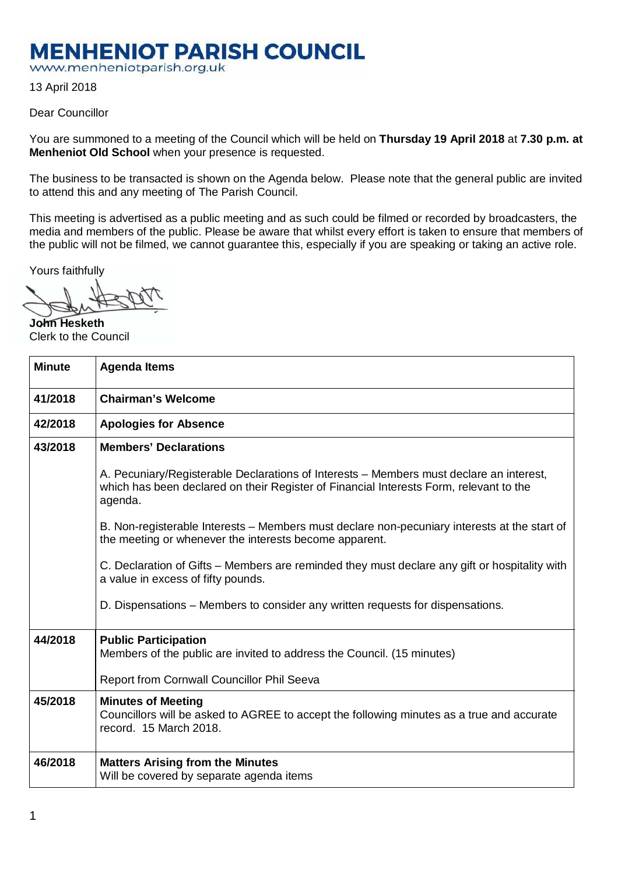## **MENHENIOT PARISH COUNCIL**

www.menheniotparish.org.uk

13 April 2018

## Dear Councillor

You are summoned to a meeting of the Council which will be held on **Thursday 19 April 2018** at **7.30 p.m. at Menheniot Old School** when your presence is requested.

The business to be transacted is shown on the Agenda below. Please note that the general public are invited to attend this and any meeting of The Parish Council.

This meeting is advertised as a public meeting and as such could be filmed or recorded by broadcasters, the media and members of the public. Please be aware that whilst every effort is taken to ensure that members of the public will not be filmed, we cannot guarantee this, especially if you are speaking or taking an active role.

Yours faithfully

**John Hesketh**  Clerk to the Council

| <b>Minute</b> | <b>Agenda Items</b>                                                                                                                                                                          |  |  |  |
|---------------|----------------------------------------------------------------------------------------------------------------------------------------------------------------------------------------------|--|--|--|
| 41/2018       | <b>Chairman's Welcome</b>                                                                                                                                                                    |  |  |  |
| 42/2018       | <b>Apologies for Absence</b>                                                                                                                                                                 |  |  |  |
| 43/2018       | <b>Members' Declarations</b>                                                                                                                                                                 |  |  |  |
|               | A. Pecuniary/Registerable Declarations of Interests - Members must declare an interest,<br>which has been declared on their Register of Financial Interests Form, relevant to the<br>agenda. |  |  |  |
|               | B. Non-registerable Interests – Members must declare non-pecuniary interests at the start of<br>the meeting or whenever the interests become apparent.                                       |  |  |  |
|               | C. Declaration of Gifts – Members are reminded they must declare any gift or hospitality with<br>a value in excess of fifty pounds.                                                          |  |  |  |
|               | D. Dispensations – Members to consider any written requests for dispensations.                                                                                                               |  |  |  |
| 44/2018       | <b>Public Participation</b><br>Members of the public are invited to address the Council. (15 minutes)                                                                                        |  |  |  |
|               | Report from Cornwall Councillor Phil Seeva                                                                                                                                                   |  |  |  |
| 45/2018       | <b>Minutes of Meeting</b><br>Councillors will be asked to AGREE to accept the following minutes as a true and accurate<br>record. 15 March 2018.                                             |  |  |  |
| 46/2018       | <b>Matters Arising from the Minutes</b><br>Will be covered by separate agenda items                                                                                                          |  |  |  |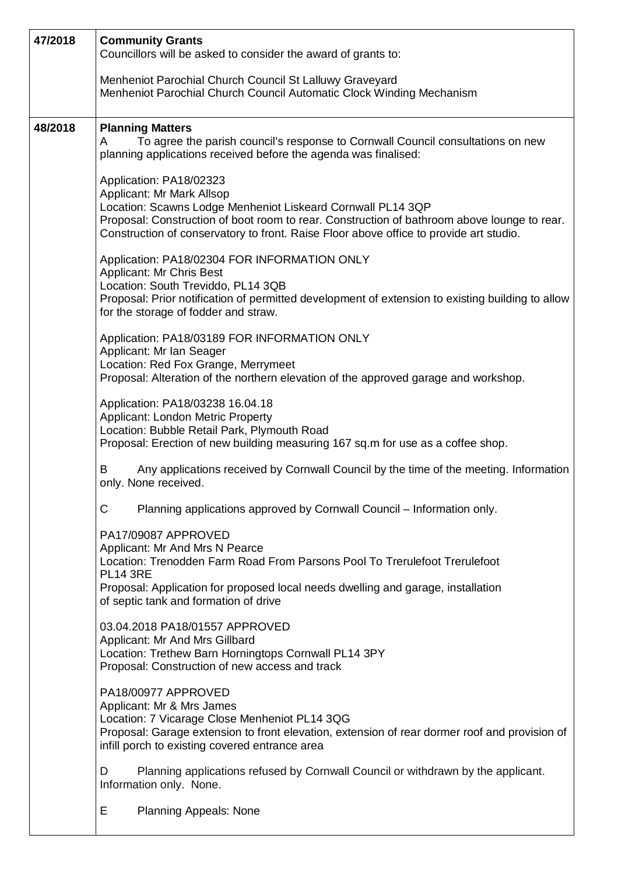| 47/2018 | <b>Community Grants</b><br>Councillors will be asked to consider the award of grants to:<br>Menheniot Parochial Church Council St Lalluwy Graveyard<br>Menheniot Parochial Church Council Automatic Clock Winding Mechanism                                                                                  |  |  |  |  |  |
|---------|--------------------------------------------------------------------------------------------------------------------------------------------------------------------------------------------------------------------------------------------------------------------------------------------------------------|--|--|--|--|--|
|         |                                                                                                                                                                                                                                                                                                              |  |  |  |  |  |
| 48/2018 | <b>Planning Matters</b><br>To agree the parish council's response to Cornwall Council consultations on new<br>A<br>planning applications received before the agenda was finalised:                                                                                                                           |  |  |  |  |  |
|         | Application: PA18/02323<br>Applicant: Mr Mark Allsop<br>Location: Scawns Lodge Menheniot Liskeard Cornwall PL14 3QP<br>Proposal: Construction of boot room to rear. Construction of bathroom above lounge to rear.<br>Construction of conservatory to front. Raise Floor above office to provide art studio. |  |  |  |  |  |
|         | Application: PA18/02304 FOR INFORMATION ONLY<br><b>Applicant: Mr Chris Best</b><br>Location: South Treviddo, PL14 3QB<br>Proposal: Prior notification of permitted development of extension to existing building to allow<br>for the storage of fodder and straw.                                            |  |  |  |  |  |
|         | Application: PA18/03189 FOR INFORMATION ONLY<br>Applicant: Mr Ian Seager<br>Location: Red Fox Grange, Merrymeet<br>Proposal: Alteration of the northern elevation of the approved garage and workshop.                                                                                                       |  |  |  |  |  |
|         | Application: PA18/03238 16.04.18<br>Applicant: London Metric Property<br>Location: Bubble Retail Park, Plymouth Road<br>Proposal: Erection of new building measuring 167 sq.m for use as a coffee shop.                                                                                                      |  |  |  |  |  |
|         | Any applications received by Cornwall Council by the time of the meeting. Information<br>B<br>only. None received.                                                                                                                                                                                           |  |  |  |  |  |
|         | C<br>Planning applications approved by Cornwall Council - Information only.                                                                                                                                                                                                                                  |  |  |  |  |  |
|         | PA17/09087 APPROVED<br>Applicant: Mr And Mrs N Pearce<br>Location: Trenodden Farm Road From Parsons Pool To Trerulefoot Trerulefoot<br><b>PL14 3RE</b><br>Proposal: Application for proposed local needs dwelling and garage, installation<br>of septic tank and formation of drive                          |  |  |  |  |  |
|         | 03.04.2018 PA18/01557 APPROVED<br>Applicant: Mr And Mrs Gillbard<br>Location: Trethew Barn Horningtops Cornwall PL14 3PY<br>Proposal: Construction of new access and track                                                                                                                                   |  |  |  |  |  |
|         | PA18/00977 APPROVED<br>Applicant: Mr & Mrs James<br>Location: 7 Vicarage Close Menheniot PL14 3QG<br>Proposal: Garage extension to front elevation, extension of rear dormer roof and provision of<br>infill porch to existing covered entrance area                                                         |  |  |  |  |  |
|         | Planning applications refused by Cornwall Council or withdrawn by the applicant.<br>D<br>Information only. None.                                                                                                                                                                                             |  |  |  |  |  |
|         | Е<br><b>Planning Appeals: None</b>                                                                                                                                                                                                                                                                           |  |  |  |  |  |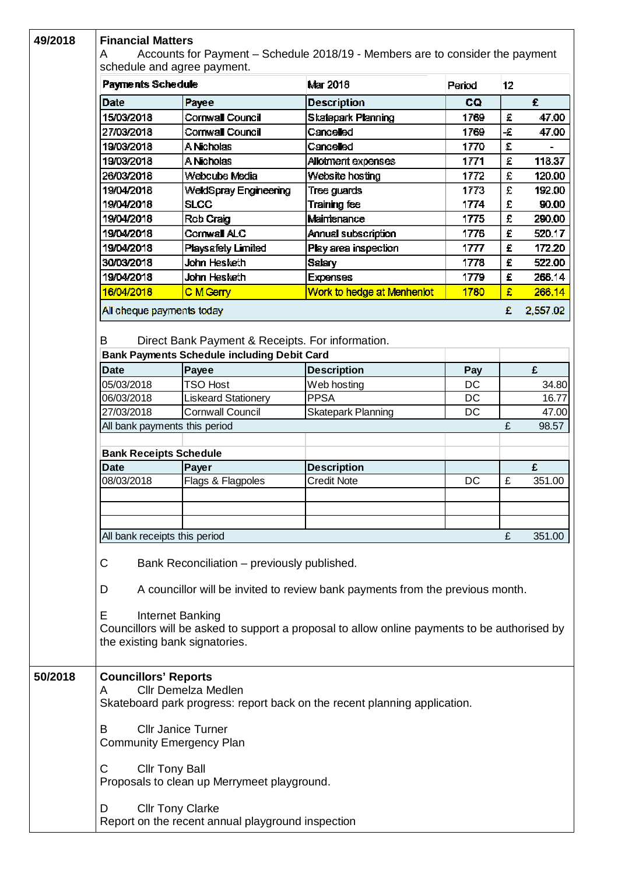| 49/2018 | <b>Financial Matters</b>                                                                                          |                                                    |                            |        |    |          |  |  |  |
|---------|-------------------------------------------------------------------------------------------------------------------|----------------------------------------------------|----------------------------|--------|----|----------|--|--|--|
|         | Accounts for Payment - Schedule 2018/19 - Members are to consider the payment<br>A<br>schedule and agree payment. |                                                    |                            |        |    |          |  |  |  |
|         | Payments Schedule                                                                                                 |                                                    | Mar 2018                   | Period | 12 |          |  |  |  |
|         | Date                                                                                                              | Payee                                              | <b>Description</b>         | CQ.    |    | £        |  |  |  |
|         | 15/03/2018                                                                                                        | Cornwall Council                                   | Skatepark Planning         | 1769   | £  | 47.00    |  |  |  |
|         | 27/03/2018                                                                                                        | Cornwall Council                                   | Cancelled                  | 1769   | -£ | 47.00    |  |  |  |
|         | 19/03/2018                                                                                                        | A Nicholas                                         | Cancelled                  | 1770   | £  |          |  |  |  |
|         | 19/03/2018                                                                                                        | A Nicholas                                         | Allotment expenses         | 1771   | £  | 118.37   |  |  |  |
|         | 26/03/2018                                                                                                        | Webcube Media                                      | Website hosting            | 1772   | £  | 120.00   |  |  |  |
|         | 19/04/2018                                                                                                        | WeldSpray Engineering                              | Tree guards                | 1773   | £  | 192.00   |  |  |  |
|         | 19/04/2018                                                                                                        | <b>SLCC</b>                                        | Training fee               | 1774   | £  | 90.00    |  |  |  |
|         | 19/04/2018                                                                                                        | Rob Craig                                          | Maintenance                | 1775   | £  | 290.00   |  |  |  |
|         | 19/04/2018                                                                                                        | Cornwall ALC                                       | Annual subscription        | 1776   | £  | 520.17   |  |  |  |
|         | 19/04/2018                                                                                                        | <b>Playsafety Limited</b>                          | Play area inspection       | 1777   | £  | 172.20   |  |  |  |
|         | 30/03/2018                                                                                                        | John Hesketh                                       | <b>Salary</b>              | 1778   | £  | 522.00   |  |  |  |
|         | 19/04/2018                                                                                                        | John Hesketh                                       | <b>Expenses</b>            | 1779   | £  | 266.14   |  |  |  |
|         | 16/04/2018                                                                                                        |                                                    | Work to hedge at Menheniot | 1780   | £  |          |  |  |  |
|         |                                                                                                                   | C M Gerry                                          |                            |        |    | 266.14   |  |  |  |
|         | All cheque payments today                                                                                         |                                                    |                            |        | £  | 2,557.02 |  |  |  |
|         | B                                                                                                                 | Direct Bank Payment & Receipts. For information.   |                            |        |    |          |  |  |  |
|         |                                                                                                                   | <b>Bank Payments Schedule including Debit Card</b> |                            |        |    |          |  |  |  |
|         | <b>Date</b>                                                                                                       | Payee                                              | <b>Description</b>         | Pay    |    | £        |  |  |  |
|         | 05/03/2018                                                                                                        | <b>TSO Host</b>                                    | Web hosting                | DC     |    | 34.80    |  |  |  |
|         | 06/03/2018                                                                                                        | <b>Liskeard Stationery</b>                         | <b>PPSA</b>                | DC     |    | 16.77    |  |  |  |
|         | 27/03/2018                                                                                                        | <b>Cornwall Council</b>                            | <b>Skatepark Planning</b>  | DC     |    | 47.00    |  |  |  |
|         | All bank payments this period                                                                                     |                                                    |                            |        | £  | 98.57    |  |  |  |
|         | <b>Bank Receipts Schedule</b>                                                                                     |                                                    |                            |        |    |          |  |  |  |
|         | <b>Date</b>                                                                                                       | Payer                                              | <b>Description</b>         |        |    | £        |  |  |  |
|         | 08/03/2018                                                                                                        | Flags & Flagpoles                                  | <b>Credit Note</b>         | DC     | £  | 351.00   |  |  |  |
|         |                                                                                                                   |                                                    |                            |        |    |          |  |  |  |
|         |                                                                                                                   |                                                    |                            |        |    |          |  |  |  |
|         |                                                                                                                   |                                                    |                            |        |    |          |  |  |  |
|         | All bank receipts this period                                                                                     |                                                    |                            |        | £  | 351.00   |  |  |  |
|         |                                                                                                                   |                                                    |                            |        |    |          |  |  |  |
|         | C<br>Bank Reconciliation – previously published.                                                                  |                                                    |                            |        |    |          |  |  |  |
|         | A councillor will be invited to review bank payments from the previous month.<br>D                                |                                                    |                            |        |    |          |  |  |  |
|         |                                                                                                                   |                                                    |                            |        |    |          |  |  |  |
|         | Internet Banking<br>Е                                                                                             |                                                    |                            |        |    |          |  |  |  |
|         | Councillors will be asked to support a proposal to allow online payments to be authorised by                      |                                                    |                            |        |    |          |  |  |  |
|         | the existing bank signatories.                                                                                    |                                                    |                            |        |    |          |  |  |  |
|         |                                                                                                                   |                                                    |                            |        |    |          |  |  |  |
| 50/2018 |                                                                                                                   |                                                    |                            |        |    |          |  |  |  |
|         | <b>Councillors' Reports</b><br><b>Cllr Demelza Medlen</b><br>A                                                    |                                                    |                            |        |    |          |  |  |  |
|         | Skateboard park progress: report back on the recent planning application.                                         |                                                    |                            |        |    |          |  |  |  |
|         |                                                                                                                   |                                                    |                            |        |    |          |  |  |  |
|         | <b>Cllr Janice Turner</b><br>B                                                                                    |                                                    |                            |        |    |          |  |  |  |
|         | <b>Community Emergency Plan</b>                                                                                   |                                                    |                            |        |    |          |  |  |  |
|         |                                                                                                                   |                                                    |                            |        |    |          |  |  |  |
|         | <b>Cllr Tony Ball</b><br>С                                                                                        |                                                    |                            |        |    |          |  |  |  |
|         | Proposals to clean up Merrymeet playground.                                                                       |                                                    |                            |        |    |          |  |  |  |
|         | <b>Cllr Tony Clarke</b><br>D                                                                                      |                                                    |                            |        |    |          |  |  |  |
|         | Report on the recent annual playground inspection                                                                 |                                                    |                            |        |    |          |  |  |  |